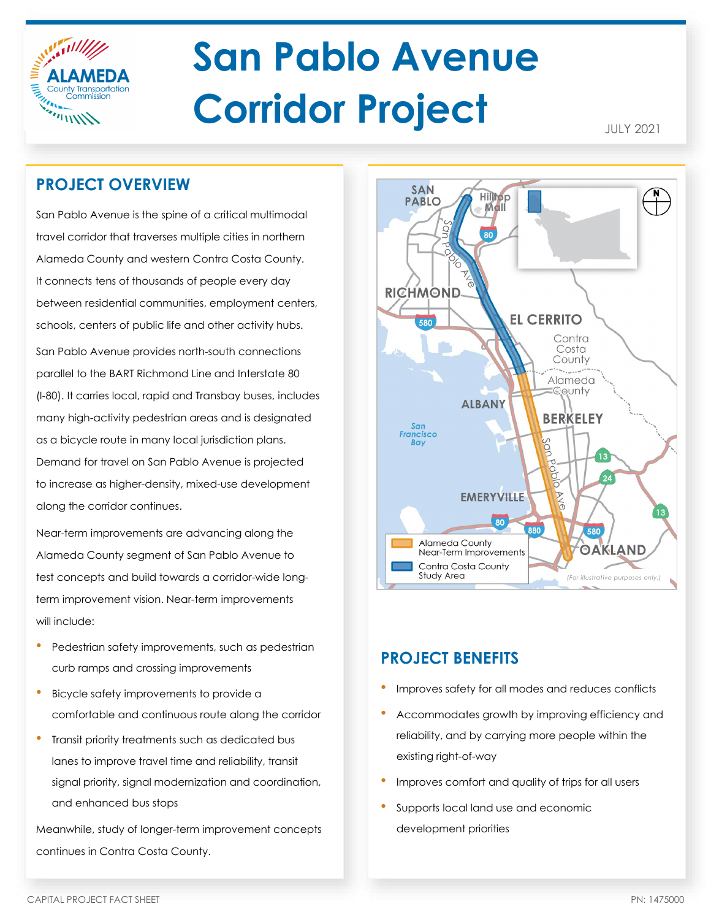

# **San Pablo Avenue Corridor Project**

JULY 2021

# **PROJECT OVERVIEW**

San Pablo Avenue is the spine of a critical multimodal travel corridor that traverses multiple cities in northern Alameda County and western Contra Costa County. It connects tens of thousands of people every day between residential communities, employment centers, schools, centers of public life and other activity hubs. San Pablo Avenue provides north-south connections parallel to the BART Richmond Line and Interstate 80 (I-80). It carries local, rapid and Transbay buses, includes many high-activity pedestrian areas and is designated as a bicycle route in many local jurisdiction plans. Demand for travel on San Pablo Avenue is projected to increase as higher-density, mixed-use development along the corridor continues.

Near-term improvements are advancing along the Alameda County segment of San Pablo Avenue to test concepts and build towards a corridor-wide longterm improvement vision. Near-term improvements will include:

- Pedestrian safety improvements, such as pedestrian curb ramps and crossing improvements
- Bicycle safety improvements to provide a comfortable and continuous route along the corridor
- Transit priority treatments such as dedicated bus lanes to improve travel time and reliability, transit signal priority, signal modernization and coordination, and enhanced bus stops

Meanwhile, study of longer-term improvement concepts continues in Contra Costa County.



## **PROJECT BENEFITS**

- Improves safety for all modes and reduces conflicts
- Accommodates growth by improving efficiency and reliability, and by carrying more people within the existing right-of-way
- Improves comfort and quality of trips for all users
- Supports local land use and economic development priorities